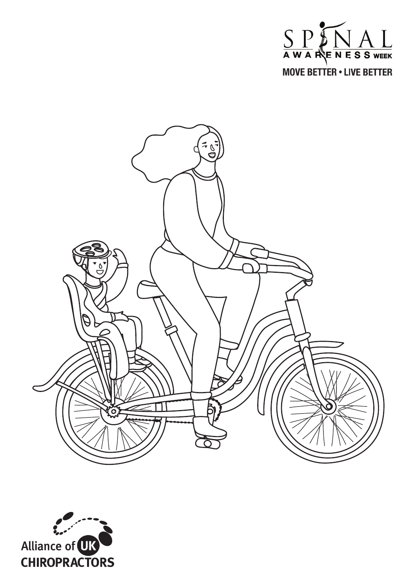



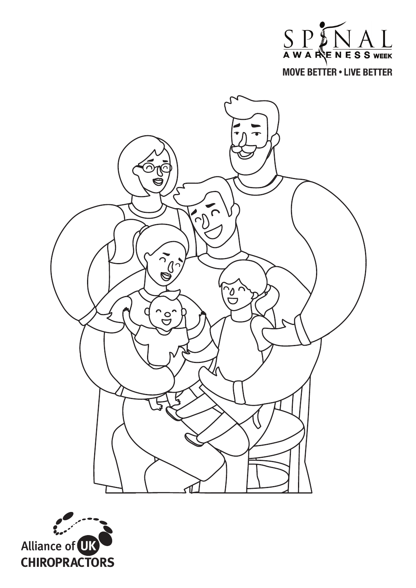



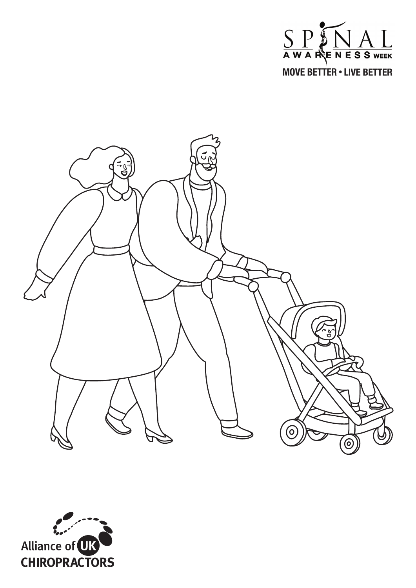



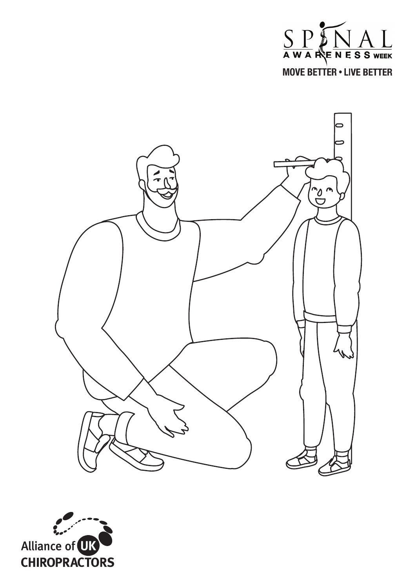



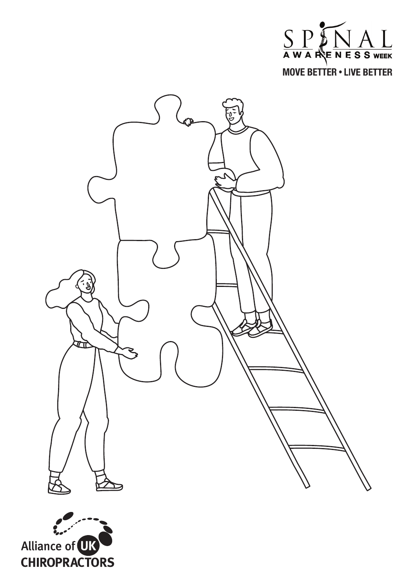



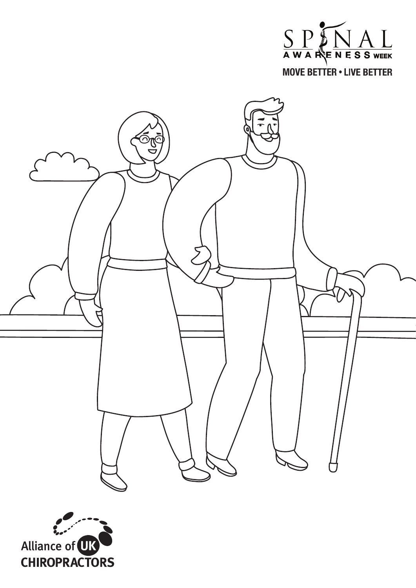